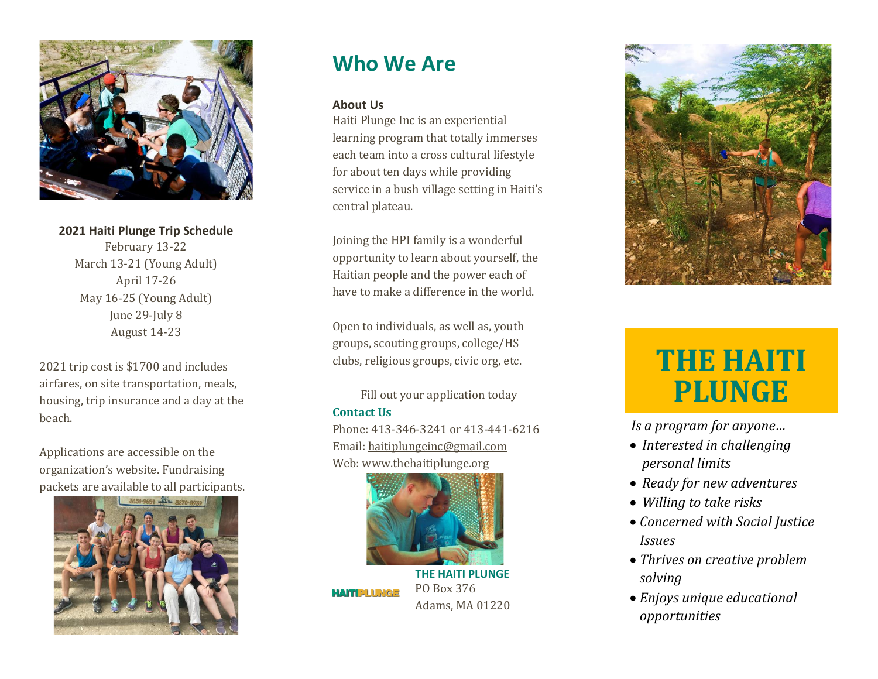

**202 1 Haiti Plunge Trip Schedule** February 13-22 March 13-21 (Young Adult) April 17 -26 May 1 6 - 2 5 (Young Adult) June 29-July 8 August 14 -23

202 1 trip cost is \$1700 and includes airfares, on site transportation, meals, housing, trip insurance and a day at the beach.

Applications are accessible on the organization's website. Fundraising packets are available to all participants.



# **Who We Are**

## **About Us**

Haiti Plunge Inc is an experiential learning program that totally immerses each team into a cross cultural lifestyle for about ten days while providing service in a bush village setting in Haiti's central plateau.

Joining the HPI family is a wonderful opportunity to learn about yourself, the Haitian people and the power each of have to make a difference in the world.

Open to individuals , as well as , youth groups, scouting groups, college/HS clubs, religious groups, civic org, etc.

Fill out your application today

# **Contact Us**

Phone: 413-346-3241 or 413-441-6216 Email: [haitiplungeinc@gmail.com](mailto:haitiplungeinc@gmail.com) Web: www.thehaitiplunge.org



**THE HAITI PLUNGE** PO Box 376 **HAITIPLUNGE** Adams, MA 01220



# **THE HAITI PLUNGE**

 *Is a program for anyone…*

- *Interested in challenging personal limits*
- *Ready for new adventures*
- *Willing to take risks*
- *Concerned with Social Justice Issues*
- *Thrives on creative problem solving*
- *Enjoys unique educational opportunities*